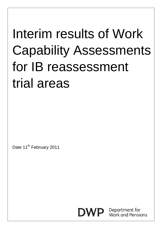## Interim results of Work Capability Assessments for IB reassessment trial areas

Date 11<sup>th</sup> February 2011



Department for<br>Work and Pensions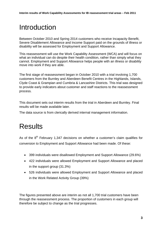## Introduction

Between October 2010 and Spring 2014 customers who receive Incapacity Benefit, Severe Disablement Allowance and Income Support paid on the grounds of illness or disability will be assessed for Employment and Support Allowance.

This reassessment will use the Work Capability Assessment (WCA) and will focus on what an individual can do despite their health condition, rather than simply what they cannot. Employment and Support Allowance helps people with an illness or disability move into work if they are able.

The first stage of reassessment began in October 2010 with a trial involving 1,700 customers from the Burnley and Aberdeen Benefit Centres in the Highlands, Islands, Clyde Coast & Grampian and Cumbria & Lancashire Districts. This trial was designed to provide early indicators about customer and staff reactions to the reassessment process.

This document sets out interim results from the trial in Aberdeen and Burnley. Final results will be made available later.

The data source is from clerically derived internal management information.

## **Results**

As of the  $8<sup>th</sup>$  February 1,347 decisions on whether a customer's claim qualifies for conversion to Employment and Support Allowance had been made. Of these:

- 399 individuals were disallowed Employment and Support Allowance (29.6%)
- 422 individuals were allowed Employment and Support Allowance and placed in the support group (31.3%)
- 526 individuals were allowed Employment and Support Allowance and placed in the Work Related Activity Group (39%)

The figures presented above are interim as not all 1,700 trial customers have been through the reassessment process. The proportion of customers in each group will therefore be subject to change as the trial progresses.